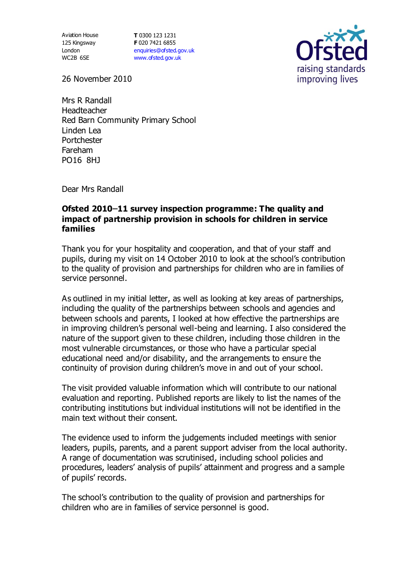Aviation House 125 Kingsway London WC2B 6SE

**T** 0300 123 1231 **F** 020 7421 6855 [enquiries@ofsted.gov.uk](mailto:enquiries@ofsted.gov.uk) [www.ofsted.gov.uk](http://www.ofsted.gov.uk/)



26 November 2010

Mrs R Randall Headteacher Red Barn Community Primary School Linden Lea Portchester Fareham PO16 8HJ

Dear Mrs Randall

## **Ofsted 2010 11 survey inspection programme: The quality and impact of partnership provision in schools for children in service families**

Thank you for your hospitality and cooperation, and that of your staff and pupils, during my visit on 14 October 2010 to look at the school's contribution to the quality of provision and partnerships for children who are in families of service personnel.

As outlined in my initial letter, as well as looking at key areas of partnerships, including the quality of the partnerships between schools and agencies and between schools and parents, I looked at how effective the partnerships are in improving children's personal well-being and learning. I also considered the nature of the support given to these children, including those children in the most vulnerable circumstances, or those who have a particular special educational need and/or disability, and the arrangements to ensure the continuity of provision during children's move in and out of your school.

The visit provided valuable information which will contribute to our national evaluation and reporting. Published reports are likely to list the names of the contributing institutions but individual institutions will not be identified in the main text without their consent.

The evidence used to inform the judgements included meetings with senior leaders, pupils, parents, and a parent support adviser from the local authority. A range of documentation was scrutinised, including school policies and procedures, leaders' analysis of pupils' attainment and progress and a sample of pupils' records.

The school's contribution to the quality of provision and partnerships for children who are in families of service personnel is good.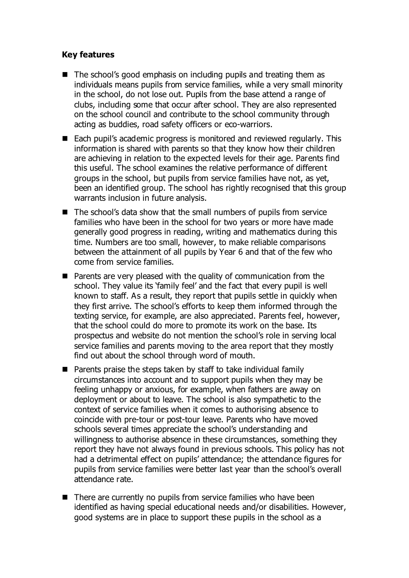## **Key features**

- The school's good emphasis on including pupils and treating them as individuals means pupils from service families, while a very small minority in the school, do not lose out. Pupils from the base attend a range of clubs, including some that occur after school. They are also represented on the school council and contribute to the school community through acting as buddies, road safety officers or eco-warriors.
- Each pupil's academic progress is monitored and reviewed regularly. This information is shared with parents so that they know how their children are achieving in relation to the expected levels for their age. Parents find this useful. The school examines the relative performance of different groups in the school, but pupils from service families have not, as yet, been an identified group. The school has rightly recognised that this group warrants inclusion in future analysis.
- $\blacksquare$  The school's data show that the small numbers of pupils from service families who have been in the school for two years or more have made generally good progress in reading, writing and mathematics during this time. Numbers are too small, however, to make reliable comparisons between the attainment of all pupils by Year 6 and that of the few who come from service families.
- $\blacksquare$  Parents are very pleased with the quality of communication from the school. They value its 'family feel' and the fact that every pupil is well known to staff. As a result, they report that pupils settle in quickly when they first arrive. The school's efforts to keep them informed through the texting service, for example, are also appreciated. Parents feel, however, that the school could do more to promote its work on the base. Its prospectus and website do not mention the school's role in serving local service families and parents moving to the area report that they mostly find out about the school through word of mouth.
- $\blacksquare$  Parents praise the steps taken by staff to take individual family circumstances into account and to support pupils when they may be feeling unhappy or anxious, for example, when fathers are away on deployment or about to leave. The school is also sympathetic to the context of service families when it comes to authorising absence to coincide with pre-tour or post-tour leave. Parents who have moved schools several times appreciate the school's understanding and willingness to authorise absence in these circumstances, something they report they have not always found in previous schools. This policy has not had a detrimental effect on pupils' attendance; the attendance figures for pupils from service families were better last year than the school's overall attendance rate.
- $\blacksquare$  There are currently no pupils from service families who have been identified as having special educational needs and/or disabilities. However, good systems are in place to support these pupils in the school as a